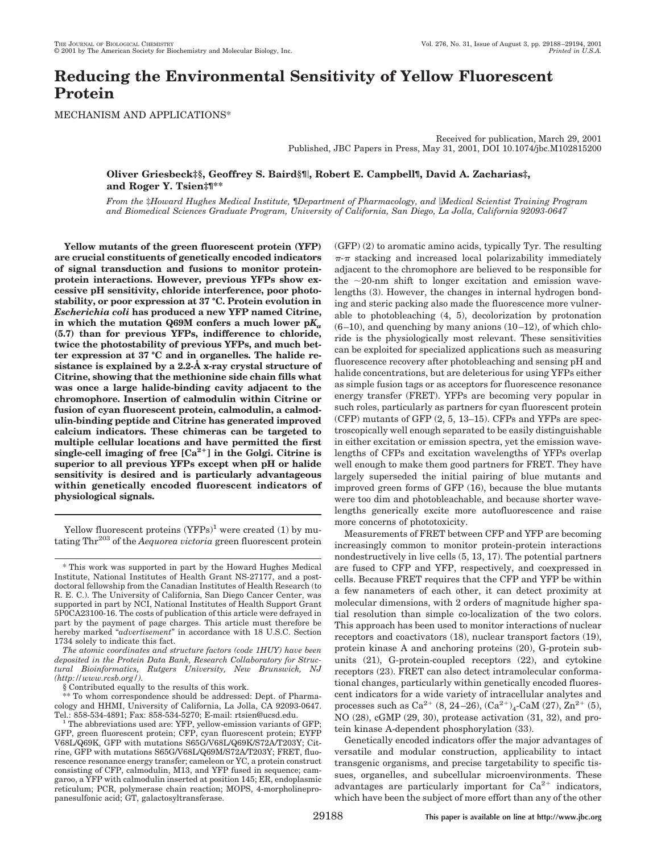# **Reducing the Environmental Sensitivity of Yellow Fluorescent Protein**

MECHANISM AND APPLICATIONS\*

Received for publication, March 29, 2001 Published, JBC Papers in Press, May 31, 2001, DOI 10.1074/jbc.M102815200

# **Oliver Griesbeck‡§, Geoffrey S. Baird§¶**i**, Robert E. Campbell¶, David A. Zacharias‡, and Roger Y. Tsien‡¶\*\***

*From the* ‡*Howard Hughes Medical Institute,* ¶*Department of Pharmacology, and* i*Medical Scientist Training Program and Biomedical Sciences Graduate Program, University of California, San Diego, La Jolla, California 92093-0647*

**Yellow mutants of the green fluorescent protein (YFP) are crucial constituents of genetically encoded indicators of signal transduction and fusions to monitor proteinprotein interactions. However, previous YFPs show excessive pH sensitivity, chloride interference, poor photostability, or poor expression at 37 °C. Protein evolution in** *Escherichia coli* **has produced a new YFP named Citrine,** in which the mutation  $Q69M$  confers a much lower  $pK_a$ **(5.7) than for previous YFPs, indifference to chloride, twice the photostability of previous YFPs, and much better expression at 37 °C and in organelles. The halide resistance is explained by a 2.2-Å x-ray crystal structure of Citrine, showing that the methionine side chain fills what was once a large halide-binding cavity adjacent to the chromophore. Insertion of calmodulin within Citrine or fusion of cyan fluorescent protein, calmodulin, a calmodulin-binding peptide and Citrine has generated improved calcium indicators. These chimeras can be targeted to multiple cellular locations and have permitted the first** single-cell imaging of free  $[Ca^{2+}]$  in the Golgi. Citrine is **superior to all previous YFPs except when pH or halide sensitivity is desired and is particularly advantageous within genetically encoded fluorescent indicators of physiological signals.**

Yellow fluorescent proteins  $(YFPs)^1$  were created (1) by mutating Thr203 of the *Aequorea victoria* green fluorescent protein

*The atomic coordinates and structure factors (code 1HUY) have been deposited in the Protein Data Bank, Research Collaboratory for Structural Bioinformatics, Rutgers University, New Brunswick, NJ (http://www.rcsb.org/).*

§ Contributed equally to the results of this work.

\*\* To whom correspondence should be addressed: Dept. of Pharmacology and HHMI, University of California, La Jolla, CA 92093-0647. (GFP) (2) to aromatic amino acids, typically Tyr. The resulting  $\pi$ - $\pi$  stacking and increased local polarizability immediately adjacent to the chromophore are believed to be responsible for the  $\sim$ 20-nm shift to longer excitation and emission wavelengths (3). However, the changes in internal hydrogen bonding and steric packing also made the fluorescence more vulnerable to photobleaching (4, 5), decolorization by protonation  $(6-10)$ , and quenching by many anions  $(10-12)$ , of which chloride is the physiologically most relevant. These sensitivities can be exploited for specialized applications such as measuring fluorescence recovery after photobleaching and sensing pH and halide concentrations, but are deleterious for using YFPs either as simple fusion tags or as acceptors for fluorescence resonance energy transfer (FRET). YFPs are becoming very popular in such roles, particularly as partners for cyan fluorescent protein (CFP) mutants of GFP (2, 5, 13–15). CFPs and YFPs are spectroscopically well enough separated to be easily distinguishable in either excitation or emission spectra, yet the emission wavelengths of CFPs and excitation wavelengths of YFPs overlap well enough to make them good partners for FRET. They have largely superseded the initial pairing of blue mutants and improved green forms of GFP (16), because the blue mutants were too dim and photobleachable, and because shorter wavelengths generically excite more autofluorescence and raise more concerns of phototoxicity.

Measurements of FRET between CFP and YFP are becoming increasingly common to monitor protein-protein interactions nondestructively in live cells (5, 13, 17). The potential partners are fused to CFP and YFP, respectively, and coexpressed in cells. Because FRET requires that the CFP and YFP be within a few nanameters of each other, it can detect proximity at molecular dimensions, with 2 orders of magnitude higher spatial resolution than simple co-localization of the two colors. This approach has been used to monitor interactions of nuclear receptors and coactivators (18), nuclear transport factors (19), protein kinase A and anchoring proteins (20), G-protein subunits (21), G-protein-coupled receptors (22), and cytokine receptors (23). FRET can also detect intramolecular conformational changes, particularly within genetically encoded fluorescent indicators for a wide variety of intracellular analytes and processes such as Ca^2+ (8, 24–26),  ${\rm (Ca^{2+})_4\text{-}CaM}$  (27),  ${\rm Zn^{2+}}$  (5), NO (28), cGMP (29, 30), protease activation (31, 32), and protein kinase A-dependent phosphorylation (33).

Genetically encoded indicators offer the major advantages of versatile and modular construction, applicability to intact transgenic organisms, and precise targetability to specific tissues, organelles, and subcellular microenvironments. These advantages are particularly important for  $Ca^{2+}$  indicators, which have been the subject of more effort than any of the other

<sup>\*</sup> This work was supported in part by the Howard Hughes Medical Institute, National Institutes of Health Grant NS-27177, and a postdoctoral fellowship from the Canadian Institutes of Health Research (to R. E. C.). The University of California, San Diego Cancer Center, was supported in part by NCI, National Institutes of Health Support Grant 5P0CA23100-16. The costs of publication of this article were defrayed in part by the payment of page charges. This article must therefore be hereby marked "*advertisement*" in accordance with 18 U.S.C. Section 1734 solely to indicate this fact.

 $\frac{1}{1}$  The abbreviations used are: YFP, yellow-emission variants of GFP; GFP, green fluorescent protein; CFP, cyan fluorescent protein; EYFP V68L/Q69K, GFP with mutations S65G/V68L/Q69K/S72A/T203Y; Citrine, GFP with mutations S65G/V68L/Q69M/S72A/T203Y; FRET, fluorescence resonance energy transfer; cameleon or YC, a protein construct consisting of CFP, calmodulin, M13, and YFP fused in sequence; camgaroo, a YFP with calmodulin inserted at position 145; ER, endoplasmic reticulum; PCR, polymerase chain reaction; MOPS, 4-morpholinepropanesulfonic acid; GT, galactosyltransferase.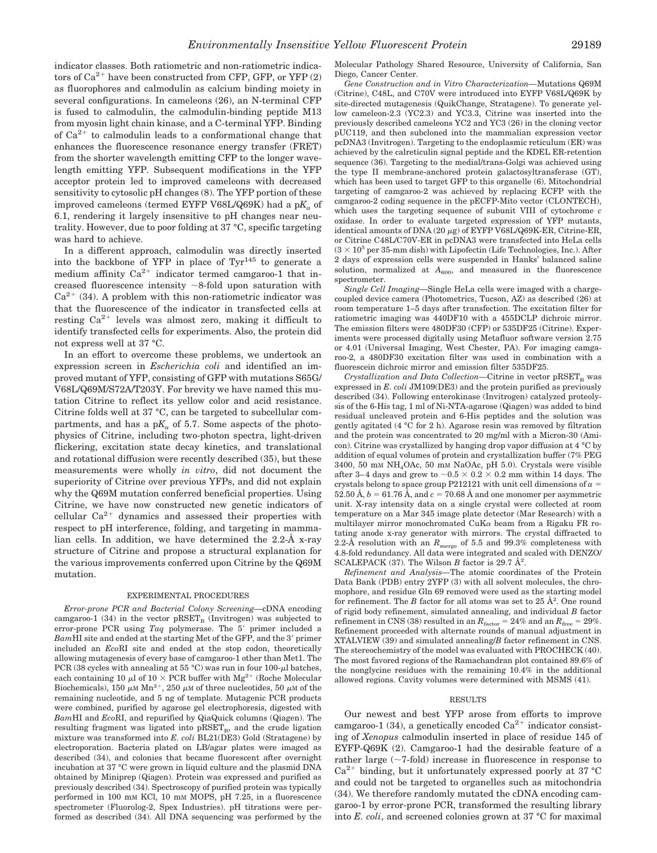indicator classes. Both ratiometric and non-ratiometric indicators of  $Ca^{2+}$  have been constructed from CFP, GFP, or YFP  $(2)$ as fluorophores and calmodulin as calcium binding moiety in several configurations. In cameleons (26), an N-terminal CFP is fused to calmodulin, the calmodulin-binding peptide M13 from myosin light chain kinase, and a C-terminal YFP. Binding of  $Ca^{2+}$  to calmodulin leads to a conformational change that enhances the fluorescence resonance energy transfer (FRET) from the shorter wavelength emitting CFP to the longer wavelength emitting YFP. Subsequent modifications in the YFP acceptor protein led to improved cameleons with decreased sensitivity to cytosolic pH changes (8). The YFP portion of these improved cameleons (termed EYFP V68L/Q69K) had a pK<sub>a</sub> of 6.1, rendering it largely insensitive to pH changes near neutrality. However, due to poor folding at 37 °C, specific targeting was hard to achieve.

In a different approach, calmodulin was directly inserted into the backbone of YFP in place of Tyr145 to generate a medium affinity  $Ca^{2+}$  indicator termed camgaroo-1 that increased fluorescence intensity  $\sim$ 8-fold upon saturation with  $Ca^{2+}$  (34). A problem with this non-ratiometric indicator was that the fluorescence of the indicator in transfected cells at resting  $Ca^{2+}$  levels was almost zero, making it difficult to identify transfected cells for experiments. Also, the protein did not express well at 37 °C.

In an effort to overcome these problems, we undertook an expression screen in *Escherichia coli* and identified an improved mutant of YFP, consisting of GFP with mutations S65G/ V68L/Q69M/S72A/T203Y. For brevity we have named this mutation Citrine to reflect its yellow color and acid resistance. Citrine folds well at 37 °C, can be targeted to subcellular compartments, and has a  $pK_a$  of 5.7. Some aspects of the photophysics of Citrine, including two-photon spectra, light-driven flickering, excitation state decay kinetics, and translational and rotational diffusion were recently described (35), but these measurements were wholly *in vitro*, did not document the superiority of Citrine over previous YFPs, and did not explain why the Q69M mutation conferred beneficial properties. Using Citrine, we have now constructed new genetic indicators of cellular  $Ca^{2+}$  dynamics and assessed their properties with respect to pH interference, folding, and targeting in mammalian cells. In addition, we have determined the 2.2-Å x-ray structure of Citrine and propose a structural explanation for the various improvements conferred upon Citrine by the Q69M mutation.

## EXPERIMENTAL PROCEDURES

*Error-prone PCR and Bacterial Colony Screening—*cDNA encoding camgaroo-1 (34) in the vector  $pRSET_B$  (Invitrogen) was subjected to error-prone PCR using *Taq* polymerase. The 5' primer included a BamHI site and ended at the starting Met of the GFP, and the 3' primer included an *Eco*RI site and ended at the stop codon, theoretically allowing mutagenesis of every base of camgaroo-1 other than Met1. The PCR (38 cycles with annealing at 55 °C) was run in four 100- $\mu$ l batches, each containing 10  $\mu$ l of 10  $\times$  PCR buffer with Mg<sup>2+</sup> (Roche Molecular Biochemicals), 150  $\mu$ M Mn<sup>2+</sup>, 250  $\mu$ M of three nucleotides, 50  $\mu$ M of the remaining nucleotide, and 5 ng of template. Mutagenic PCR products were combined, purified by agarose gel electrophoresis, digested with *Bam*HI and *Eco*RI, and repurified by QiaQuick columns (Qiagen). The resulting fragment was ligated into  $pRSET_B$ , and the crude ligation mixture was transformed into *E. coli* BL21(DE3) Gold (Stratagene) by electroporation. Bacteria plated on LB/agar plates were imaged as described (34), and colonies that became fluorescent after overnight incubation at 37 °C were grown in liquid culture and the plasmid DNA obtained by Miniprep (Qiagen). Protein was expressed and purified as previously described (34). Spectroscopy of purified protein was typically performed in 100 mM KCl, 10 mM MOPS, pH 7.25, in a fluorescence spectrometer (Fluorolog-2, Spex Industries). pH titrations were performed as described (34). All DNA sequencing was performed by the

Molecular Pathology Shared Resource, University of California, San Diego, Cancer Center.

*Gene Construction and in Vitro Characterization—*Mutations Q69M (Citrine), C48L, and C70V were introduced into EYFP V68L/Q69K by site-directed mutagenesis (QuikChange, Stratagene). To generate yellow cameleon-2.3 (YC2.3) and YC3.3, Citrine was inserted into the previously described cameleons YC2 and YC3 (26) in the cloning vector pUC119, and then subcloned into the mammalian expression vector pcDNA3 (Invitrogen). Targeting to the endoplasmic reticulum (ER) was achieved by the calreticulin signal peptide and the KDEL ER-retention sequence (36). Targeting to the medial/trans-Golgi was achieved using the type II membrane-anchored protein galactosyltransferase (GT), which has been used to target GFP to this organelle (6). Mitochondrial targeting of camgaroo-2 was achieved by replacing ECFP with the camgaroo-2 coding sequence in the pECFP-Mito vector (CLONTECH), which uses the targeting sequence of subunit VIII of cytochrome *c* oxidase. In order to evaluate targeted expression of YFP mutants, identical amounts of DNA (20  $\mu{\rm g}$  ) of EYFP V68L/Q69K-ER, Citrine-ER, or Citrine C48L/C70V-ER in pcDNA3 were transfected into HeLa cells  $(3 \times 10^5$  per 35-mm dish) with Lipofectin (Life Technologies, Inc.). After 2 days of expression cells were suspended in Hanks' balanced saline solution, normalized at  $A_{600}$ , and measured in the fluorescence spectrometer.

*Single Cell Imaging—*Single HeLa cells were imaged with a chargecoupled device camera (Photometrics, Tucson, AZ) as described (26) at room temperature 1–5 days after transfection. The excitation filter for ratiometric imaging was 440DF10 with a 455DCLP dichroic mirror. The emission filters were 480DF30 (CFP) or 535DF25 (Citrine). Experiments were processed digitally using Metafluor software version 2.75 or 4.01 (Universal Imaging, West Chester, PA). For imaging camgaroo-2, a 480DF30 excitation filter was used in combination with a fluorescein dichroic mirror and emission filter 535DF25.

*Crystallization and Data Collection—Citrine in vector pRSET<sub>B</sub> was* expressed in *E. coli* JM109(DE3) and the protein purified as previously described (34). Following enterokinase (Invitrogen) catalyzed proteolysis of the 6-His tag, 1 ml of Ni-NTA-agarose (Qiagen) was added to bind residual uncleaved protein and 6-His peptides and the solution was gently agitated (4 °C for 2 h). Agarose resin was removed by filtration and the protein was concentrated to 20 mg/ml with a Micron-30 (Amicon). Citrine was crystallized by hanging drop vapor diffusion at 4 °C by addition of equal volumes of protein and crystallization buffer (7% PEG 3400, 50 mM NH4OAc, 50 mM NaOAc, pH 5.0). Crystals were visible after 3–4 days and grew to  ${\sim}0.5 \times 0.2 \times 0.2$  mm within 14 days. The crystals belong to space group P212121 with unit cell dimensions of  $a =$ 52.50 Å,  $b = 61.76$  Å, and  $c = 70.68$  Å and one monomer per asymmetric unit. X-ray intensity data on a single crystal were collected at room temperature on a Mar 345 image plate detector (Mar Research) with a multilayer mirror monochromated  $CuK\alpha$  beam from a Rigaku FR rotating anode x-ray generator with mirrors. The crystal diffracted to 2.2-Å resolution with an  $R_{\text{merge}}$  of 5.5 and 99.3% completeness with 4.8-fold redundancy. All data were integrated and scaled with DENZO/ SCALEPACK  $(37)$ . The Wilson *B* factor is 29.7  $\AA^2$ .

*Refinement and Analysis—*The atomic coordinates of the Protein Data Bank (PDB) entry 2YFP (3) with all solvent molecules, the chromophore, and residue Gln 69 removed were used as the starting model for refinement. The  $B$  factor for all atoms was set to  $25 \text{ Å}^2$ . One round of rigid body refinement, simulated annealing, and individual *B* factor refinement in CNS (38) resulted in an  $R_{\text{factor}} = 24\%$  and an  $R_{\text{free}} = 29\%$ . Refinement proceeded with alternate rounds of manual adjustment in XTALVIEW (39) and simulated annealing/*B* factor refinement in CNS. The stereochemistry of the model was evaluated with PROCHECK (40). The most favored regions of the Ramachandran plot contained 89.6% of the nonglycine residues with the remaining 10.4% in the additional allowed regions. Cavity volumes were determined with MSMS (41).

## RESULTS

Our newest and best YFP arose from efforts to improve camgaroo-1 (34), a genetically encoded  $Ca^{2+}$  indicator consisting of *Xenopus* calmodulin inserted in place of residue 145 of EYFP-Q69K (2). Camgaroo-1 had the desirable feature of a rather large  $(\sim 7\text{-fold})$  increase in fluorescence in response to  $Ca^{2+}$  binding, but it unfortunately expressed poorly at 37 °C and could not be targeted to organelles such as mitochondria (34). We therefore randomly mutated the cDNA encoding camgaroo-1 by error-prone PCR, transformed the resulting library into *E. coli*, and screened colonies grown at 37 °C for maximal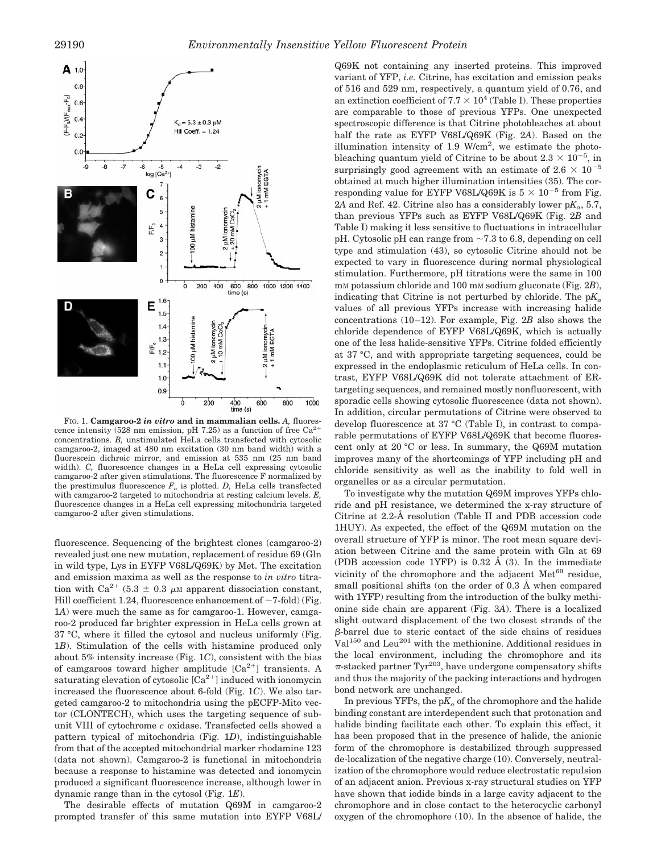

FIG. 1. **Camgaroo-2** *in vitro* **and in mammalian cells.** *A,* fluorescence intensity (528 nm emission, pH 7.25) as a function of free  $Ca^{2+}$ concentrations. *B,* unstimulated HeLa cells transfected with cytosolic camgaroo-2, imaged at 480 nm excitation (30 nm band width) with a fluorescein dichroic mirror, and emission at 535 nm (25 nm band width). *C,* fluorescence changes in a HeLa cell expressing cytosolic camgaroo-2 after given stimulations. The fluorescence F normalized by the prestimulus fluorescence  $F_o$  is plotted. *D*, HeLa cells transfected with camgaroo-2 targeted to mitochondria at resting calcium levels. *E,* fluorescence changes in a HeLa cell expressing mitochondria targeted camgaroo-2 after given stimulations.

fluorescence. Sequencing of the brightest clones (camgaroo-2) revealed just one new mutation, replacement of residue 69 (Gln in wild type, Lys in EYFP V68L/Q69K) by Met. The excitation and emission maxima as well as the response to *in vitro* titration with Ca<sup>2+</sup> (5.3  $\pm$  0.3  $\mu$ M apparent dissociation constant, Hill coefficient 1.24, fluorescence enhancement of  $\sim$ 7-fold) (Fig. 1*A*) were much the same as for camgaroo-1. However, camgaroo-2 produced far brighter expression in HeLa cells grown at 37 °C, where it filled the cytosol and nucleus uniformly (Fig. 1*B*). Stimulation of the cells with histamine produced only about 5% intensity increase (Fig. 1*C*), consistent with the bias of camgaroos toward higher amplitude  $[Ca^{2+}]$  transients. A saturating elevation of cytosolic  $\lceil Ca^{2+} \rceil$  induced with ionomycin increased the fluorescence about 6-fold (Fig. 1*C*). We also targeted camgaroo-2 to mitochondria using the pECFP-Mito vector (CLONTECH), which uses the targeting sequence of subunit VIII of cytochrome *c* oxidase. Transfected cells showed a pattern typical of mitochondria (Fig. 1*D*), indistinguishable from that of the accepted mitochondrial marker rhodamine 123 (data not shown). Camgaroo-2 is functional in mitochondria because a response to histamine was detected and ionomycin produced a significant fluorescence increase, although lower in dynamic range than in the cytosol (Fig. 1*E*).

The desirable effects of mutation Q69M in camgaroo-2 prompted transfer of this same mutation into EYFP V68L/ Q69K not containing any inserted proteins. This improved variant of YFP, *i.e.* Citrine, has excitation and emission peaks of 516 and 529 nm, respectively, a quantum yield of 0.76, and an extinction coefficient of  $7.7 \times 10^4$  (Table I). These properties are comparable to those of previous YFPs. One unexpected spectroscopic difference is that Citrine photobleaches at about half the rate as EYFP V68L/Q69K (Fig. 2*A*). Based on the illumination intensity of  $1.9 \text{ W/cm}^2$ , we estimate the photobleaching quantum yield of Citrine to be about  $2.3 \times 10^{-5}$ , in surprisingly good agreement with an estimate of  $2.6 \times 10^{-5}$ obtained at much higher illumination intensities (35). The corresponding value for EYFP V68L/Q69K is  $5 \times 10^{-5}$  from Fig. 2A and Ref. 42. Citrine also has a considerably lower  $pK_a$ , 5.7, than previous YFPs such as EYFP V68L/Q69K (Fig. 2*B* and Table I) making it less sensitive to fluctuations in intracellular pH. Cytosolic pH can range from  $\sim$  7.3 to 6.8, depending on cell type and stimulation (43), so cytosolic Citrine should not be expected to vary in fluorescence during normal physiological stimulation. Furthermore, pH titrations were the same in 100 mM potassium chloride and 100 mM sodium gluconate (Fig. 2*B*), indicating that Citrine is not perturbed by chloride. The  $pK_a$ values of all previous YFPs increase with increasing halide concentrations (10–12). For example, Fig. 2*B* also shows the chloride dependence of EYFP V68L/Q69K, which is actually one of the less halide-sensitive YFPs. Citrine folded efficiently at 37 °C, and with appropriate targeting sequences, could be expressed in the endoplasmic reticulum of HeLa cells. In contrast, EYFP V68L/Q69K did not tolerate attachment of ERtargeting sequences, and remained mostly nonfluorescent, with sporadic cells showing cytosolic fluorescence (data not shown). In addition, circular permutations of Citrine were observed to develop fluorescence at 37 °C (Table I), in contrast to comparable permutations of EYFP V68L/Q69K that become fluorescent only at 20 °C or less. In summary, the Q69M mutation improves many of the shortcomings of YFP including pH and chloride sensitivity as well as the inability to fold well in organelles or as a circular permutation.

To investigate why the mutation Q69M improves YFPs chloride and pH resistance, we determined the x-ray structure of Citrine at 2.2-Å resolution (Table II and PDB accession code 1HUY). As expected, the effect of the Q69M mutation on the overall structure of YFP is minor. The root mean square deviation between Citrine and the same protein with Gln at 69 (PDB accession code 1YFP) is 0.32 Å (3). In the immediate vicinity of the chromophore and the adjacent Met<sup>69</sup> residue, small positional shifts (on the order of 0.3 Å when compared with 1YFP) resulting from the introduction of the bulky methionine side chain are apparent (Fig. 3*A*). There is a localized slight outward displacement of the two closest strands of the b-barrel due to steric contact of the side chains of residues  $Val^{150}$  and Leu<sup>201</sup> with the methionine. Additional residues in the local environment, including the chromophore and its  $\pi$ -stacked partner Tyr<sup>203</sup>, have undergone compensatory shifts and thus the majority of the packing interactions and hydrogen bond network are unchanged.

In previous YFPs, the  $pK_a$  of the chromophore and the halide binding constant are interdependent such that protonation and halide binding facilitate each other. To explain this effect, it has been proposed that in the presence of halide, the anionic form of the chromophore is destabilized through suppressed de-localization of the negative charge (10). Conversely, neutralization of the chromophore would reduce electrostatic repulsion of an adjacent anion. Previous x-ray structural studies on YFP have shown that iodide binds in a large cavity adjacent to the chromophore and in close contact to the heterocyclic carbonyl oxygen of the chromophore (10). In the absence of halide, the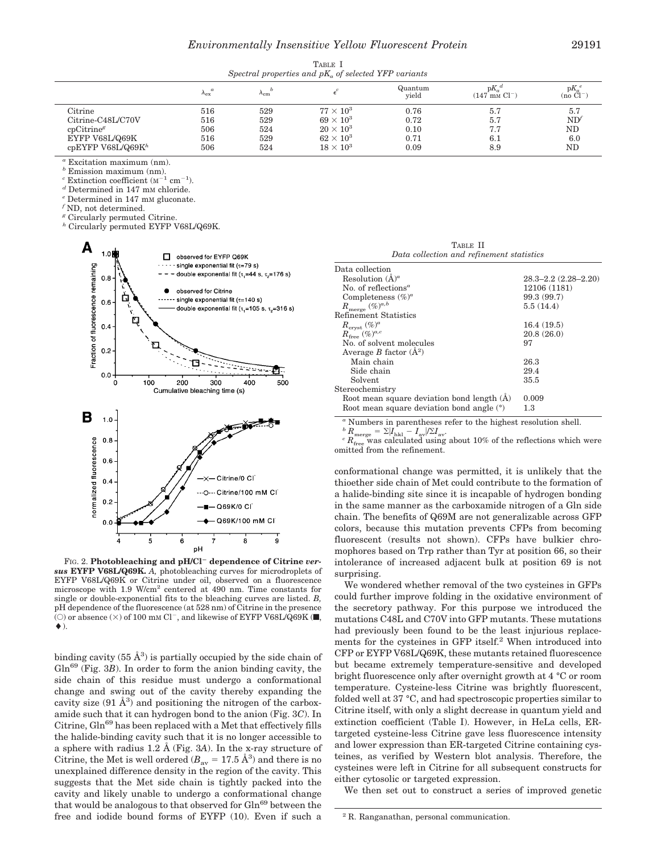TABLE I *Spectral properties and pKa of selected YFP variants*

|                               | $\alpha$<br>$\Lambda_{\rm ex}$ | $n_{\rm cm}$ |                  | Quantum<br>vield | $\mathbb{D}K_{\alpha}$<br>$(147 \text{ mm} \text{ Cl}^{-1})$ | $pK_a$<br>$(no \overline{C}l^-)$ |
|-------------------------------|--------------------------------|--------------|------------------|------------------|--------------------------------------------------------------|----------------------------------|
| $\rm Citrine$                 | 516                            | 529          | $77 \times 10^3$ | 0.76             | 5.7                                                          | 5.7                              |
| Citrine-C48L/C70V             | 516                            | 529          | $69 \times 10^3$ | 0.72             | 5.7                                                          | ND'                              |
| cpCitrine <sup>g</sup>        | 506                            | 524          | $20 \times 10^3$ | 0.10             | 7.7                                                          | ND                               |
| EYFP V68L/Q69K                | 516                            | 529          | $62 \times 10^3$ | 0.71             | 6.1                                                          | 6.0                              |
| cpEYFP V68L/Q69K <sup>h</sup> | 506                            | 524          | $18 \times 10^3$ | 0.09             | 8.9                                                          | ND                               |

*<sup>a</sup>* Excitation maximum (nm).

*<sup>b</sup>* Emission maximum (nm).

<sup>c</sup> Extinction coefficient ( $M^{-1}$  cm<sup>-1</sup>).<br><sup>*d*</sup> Determined in 147 mm chloride.

 $^e$  Determined in 147 mm gluconate.  $^f$  ND, not determined.

*<sup>g</sup>* Circularly permuted Citrine.

*<sup>h</sup>* Circularly permuted EYFP V68L/Q69K.



FIG. 2. Photobleaching and pH/Cl<sup>-</sup> dependence of Citrine *versus* **EYFP V68L/Q69K.** *A,* photobleaching curves for microdroplets of EYFP V68L/Q69K or Citrine under oil, observed on a fluorescence microscope with 1.9 W/cm<sup>2</sup> centered at 490 nm. Time constants for single or double-exponential fits to the bleaching curves are listed. *B,* pH dependence of the fluorescence (at 528 nm) of Citrine in the presence (O) or absence  $(\times)$  of 100 mm Cl<sup>-</sup>, and likewise of EYFP V68L/Q69K ( $\blacksquare$ ,  $\blacklozenge$ ).

binding cavity  $(55 \text{ Å}^3)$  is partially occupied by the side chain of Gln<sup>69</sup> (Fig. 3*B*). In order to form the anion binding cavity, the side chain of this residue must undergo a conformational change and swing out of the cavity thereby expanding the cavity size  $(91 \text{ Å}^3)$  and positioning the nitrogen of the carboxamide such that it can hydrogen bond to the anion (Fig. 3*C*). In Citrine,  $G\ln^{69}$  has been replaced with a Met that effectively fills the halide-binding cavity such that it is no longer accessible to a sphere with radius 1.2 Å (Fig. 3*A*). In the x-ray structure of Citrine, the Met is well ordered ( $B_{\text{av}} = 17.5 \text{ Å}^3$ ) and there is no unexplained difference density in the region of the cavity. This suggests that the Met side chain is tightly packed into the cavity and likely unable to undergo a conformational change that would be analogous to that observed for Gln<sup>69</sup> between the free and iodide bound forms of EYFP (10). Even if such a

TABLE II *Data collection and refinement statistics*

| Data collection                              |                           |  |  |
|----------------------------------------------|---------------------------|--|--|
| Resolution $(\AA)^a$                         | $28.3 - 2.2(2.28 - 2.20)$ |  |  |
| No. of reflections <sup><math>a</math></sup> | 12106 (1181)              |  |  |
| Completeness $(\%)^a$                        | 99.3 (99.7)               |  |  |
| $R_{\rm merge}\ (\%)^{a,b}$                  | 5.5(14.4)                 |  |  |
| Refinement Statistics                        |                           |  |  |
| $R_{\text{cryst}} (\%)^a$                    | 16.4(19.5)                |  |  |
| $R_{\text{free}}(\%)^{a,c}$                  | 20.8(26.0)                |  |  |
| No. of solvent molecules                     | 97                        |  |  |
| Average B factor $(\AA^2)$                   |                           |  |  |
| Main chain                                   | 26.3                      |  |  |
| Side chain                                   | 29.4                      |  |  |
| Solvent                                      | 35.5                      |  |  |
| Stereochemistry                              |                           |  |  |
| Root mean square deviation bond length $(A)$ | 0.009                     |  |  |
| Root mean square deviation bond angle $(°)$  | 1.3                       |  |  |
|                                              |                           |  |  |

*a* Numbers in parentheses refer to the highest resolution shell.<br>  ${}^b R_{\text{merge}} = \Sigma |I_{\text{hkl}} - I_{\text{av}}|/\Sigma I_{\text{av}}.$ 

 $^{c}R_{\text{free}}$  was calculated using about 10% of the reflections which were omitted from the refinement.

conformational change was permitted, it is unlikely that the thioether side chain of Met could contribute to the formation of a halide-binding site since it is incapable of hydrogen bonding in the same manner as the carboxamide nitrogen of a Gln side chain. The benefits of Q69M are not generalizable across GFP colors, because this mutation prevents CFPs from becoming fluorescent (results not shown). CFPs have bulkier chromophores based on Trp rather than Tyr at position 66, so their intolerance of increased adjacent bulk at position 69 is not surprising.

We wondered whether removal of the two cysteines in GFPs could further improve folding in the oxidative environment of the secretory pathway. For this purpose we introduced the mutations C48L and C70V into GFP mutants. These mutations had previously been found to be the least injurious replacements for the cysteines in GFP itself.<sup>2</sup> When introduced into CFP or EYFP V68L/Q69K, these mutants retained fluorescence but became extremely temperature-sensitive and developed bright fluorescence only after overnight growth at 4 °C or room temperature. Cysteine-less Citrine was brightly fluorescent, folded well at 37 °C, and had spectroscopic properties similar to Citrine itself, with only a slight decrease in quantum yield and extinction coefficient (Table I). However, in HeLa cells, ERtargeted cysteine-less Citrine gave less fluorescence intensity and lower expression than ER-targeted Citrine containing cysteines, as verified by Western blot analysis. Therefore, the cysteines were left in Citrine for all subsequent constructs for either cytosolic or targeted expression.

We then set out to construct a series of improved genetic

<sup>2</sup> R. Ranganathan, personal communication.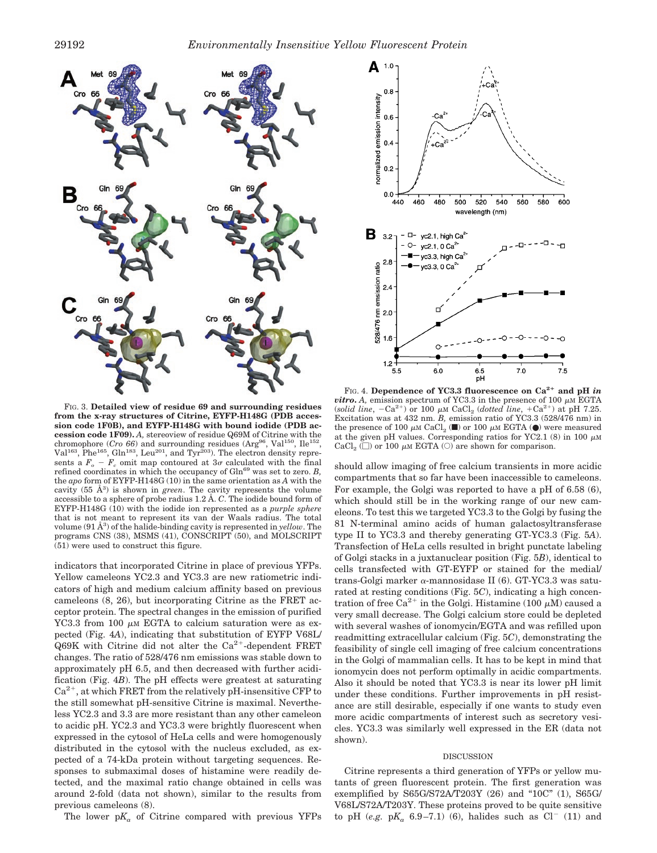

FIG. 3. **Detailed view of residue 69 and surrounding residues from the x-ray structures of Citrine, EYFP-H148G (PDB accession code 1F0B), and EYFP-H148G with bound iodide (PDB accession code 1F09).** *A,* stereoview of residue Q69M of Citrine with the chromophore  $(Cro 66)$  and surrounding residues  $(\text{Arg}^{96}, \text{Val}^{150}, \text{Ile}^{152},$ Val<sup>163</sup>, Phe<sup>165</sup>, Gln<sup>183</sup>, Leu<sup>201</sup>, and Tyr<sup>203</sup>). The electron density represents a  $F_o$  –  $F_c$  omit map contoured at  $3\sigma$  calculated with the final refined coordinates in which the occupancy of Gln<sup>69</sup> was set to zero. *B*, the *apo* form of EYFP-H148G (10) in the same orientation as *A* with the cavity  $(55 \text{ Å}^3)$  is shown in *green*. The cavity represents the volume accessible to a sphere of probe radius 1.2 Å. *C*. The iodide bound form of EYFP-H148G (10) with the iodide ion represented as a *purple sphere* that is not meant to represent its van der Waals radius. The total volume (91 Å<sup>3</sup> ) of the halide-binding cavity is represented in *yellow*. The programs CNS (38), MSMS (41), CONSCRIPT (50), and MOLSCRIPT (51) were used to construct this figure.

indicators that incorporated Citrine in place of previous YFPs. Yellow cameleons YC2.3 and YC3.3 are new ratiometric indicators of high and medium calcium affinity based on previous cameleons (8, 26), but incorporating Citrine as the FRET acceptor protein. The spectral changes in the emission of purified YC3.3 from 100  $\mu$ M EGTA to calcium saturation were as expected (Fig. 4*A*), indicating that substitution of EYFP V68L/ Q69K with Citrine did not alter the  $Ca^{2+}$ -dependent FRET changes. The ratio of 528/476 nm emissions was stable down to approximately pH 6.5, and then decreased with further acidification (Fig. 4*B*). The pH effects were greatest at saturating  $Ca<sup>2+</sup>$ , at which FRET from the relatively pH-insensitive CFP to the still somewhat pH-sensitive Citrine is maximal. Nevertheless YC2.3 and 3.3 are more resistant than any other cameleon to acidic pH. YC2.3 and YC3.3 were brightly fluorescent when expressed in the cytosol of HeLa cells and were homogenously distributed in the cytosol with the nucleus excluded, as expected of a 74-kDa protein without targeting sequences. Responses to submaximal doses of histamine were readily detected, and the maximal ratio change obtained in cells was around 2-fold (data not shown), similar to the results from previous cameleons (8).

The lower  $pK_a$  of Citrine compared with previous YFPs



FIG. 4. Dependence of YC3.3 fluorescence on Ca<sup>2+</sup> and pH *in vitro***.** *A*, emission spectrum of YC3.3 in the presence of 100  $\mu$ M EGTA (*solid line*,  $-Ca^{2+}$ ) or 100  $\mu$ M CaCl<sub>2</sub> (*dotted line*,  $+Ca^{2+}$ ) at pH 7.25. Excitation was at 432 nm. *B,* emission ratio of YC3.3 (528/476 nm) in the presence of 100  $\mu$ M CaCl<sub>2</sub> ( $\blacksquare$ ) or 100  $\mu$ M EGTA ( $\blacksquare$ ) were measured at the given pH values. Corresponding ratios for YC2.1 (8) in 100  $\mu$ M CaCl<sub>2</sub> ( $\Box$ ) or 100  $\mu$ M EGTA ( $\odot$ ) are shown for comparison.

should allow imaging of free calcium transients in more acidic compartments that so far have been inaccessible to cameleons. For example, the Golgi was reported to have a pH of 6.58 (6), which should still be in the working range of our new cameleons. To test this we targeted YC3.3 to the Golgi by fusing the 81 N-terminal amino acids of human galactosyltransferase type II to YC3.3 and thereby generating GT-YC3.3 (Fig. 5*A*). Transfection of HeLa cells resulted in bright punctate labeling of Golgi stacks in a juxtanuclear position (Fig. 5*B*), identical to cells transfected with GT-EYFP or stained for the medial/ trans-Golgi marker  $\alpha$ -mannosidase II (6). GT-YC3.3 was saturated at resting conditions (Fig. 5*C*), indicating a high concentration of free Ca<sup>2+</sup> in the Golgi. Histamine (100  $\mu$ M) caused a very small decrease. The Golgi calcium store could be depleted with several washes of ionomycin/EGTA and was refilled upon readmitting extracellular calcium (Fig. 5*C*), demonstrating the feasibility of single cell imaging of free calcium concentrations in the Golgi of mammalian cells. It has to be kept in mind that ionomycin does not perform optimally in acidic compartments. Also it should be noted that YC3.3 is near its lower pH limit under these conditions. Further improvements in pH resistance are still desirable, especially if one wants to study even more acidic compartments of interest such as secretory vesicles. YC3.3 was similarly well expressed in the ER (data not shown).

#### DISCUSSION

Citrine represents a third generation of YFPs or yellow mutants of green fluorescent protein. The first generation was exemplified by S65G/S72A/T203Y (26) and "10C" (1), S65G/ V68L/S72A/T203Y. These proteins proved to be quite sensitive to pH (*e.g.* pK<sub>a</sub> 6.9–7.1) (6), halides such as  $Cl^{-}$  (11) and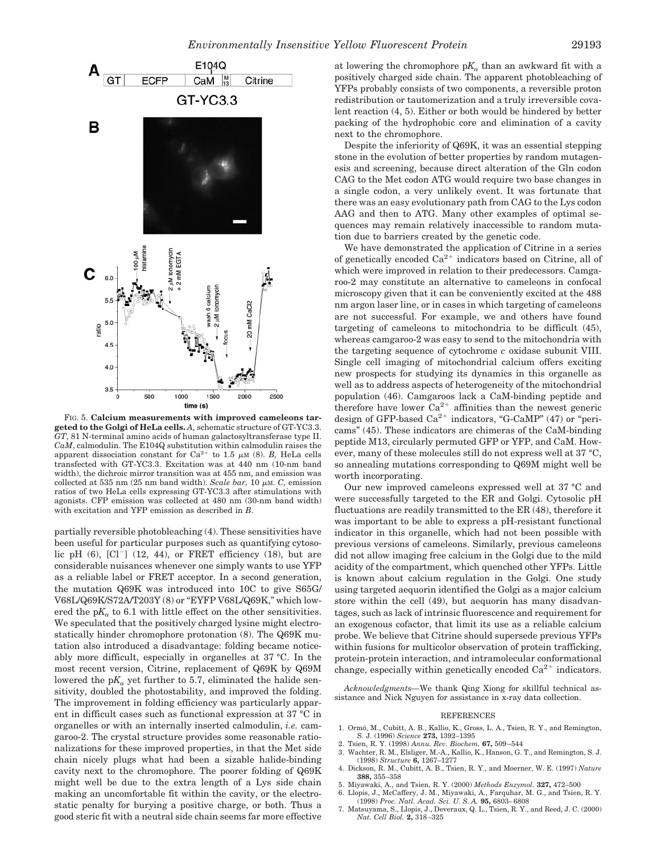

FIG. 5. **Calcium measurements with improved cameleons targeted to the Golgi of HeLa cells.** *A,* schematic structure of GT-YC3.3. *GT*, 81 N-terminal amino acids of human galactosyltransferase type II. *CaM*, calmodulin. The E104Q substitution within calmodulin raises the apparent dissociation constant for  $Ca^{2+}$  to 1.5  $\mu$ M (8). *B*, HeLa cells transfected with GT-YC3.3. Excitation was at 440 nm (10-nm band width), the dichroic mirror transition was at 455 nm, and emission was collected at 535 nm (25 nm band width). *Scale bar*, 10  $\mu$ M. *C*, emission ratios of two HeLa cells expressing GT-YC3.3 after stimulations with agonists. CFP emission was collected at 480 nm (30-nm band width) with excitation and YFP emission as described in *B*.

partially reversible photobleaching (4). These sensitivities have been useful for particular purposes such as quantifying cytosolic pH  $(6)$ ,  $\left[\text{Cl}^{-}\right]$   $(12, 44)$ , or FRET efficiency  $(18)$ , but are considerable nuisances whenever one simply wants to use YFP as a reliable label or FRET acceptor. In a second generation, the mutation Q69K was introduced into 10C to give S65G/ V68L/Q69K/S72A/T203Y (8) or "EYFP V68L/Q69K," which lowered the  $pK_a$  to 6.1 with little effect on the other sensitivities. We speculated that the positively charged lysine might electrostatically hinder chromophore protonation (8). The Q69K mutation also introduced a disadvantage: folding became noticeably more difficult, especially in organelles at 37 °C. In the most recent version, Citrine, replacement of Q69K by Q69M lowered the  $pK_a$  yet further to 5.7, eliminated the halide sensitivity, doubled the photostability, and improved the folding. The improvement in folding efficiency was particularly apparent in difficult cases such as functional expression at 37 °C in organelles or with an internally inserted calmodulin, *i.e.* camgaroo-2. The crystal structure provides some reasonable rationalizations for these improved properties, in that the Met side chain nicely plugs what had been a sizable halide-binding cavity next to the chromophore. The poorer folding of Q69K might well be due to the extra length of a Lys side chain making an uncomfortable fit within the cavity, or the electrostatic penalty for burying a positive charge, or both. Thus a good steric fit with a neutral side chain seems far more effective

at lowering the chromophore  $pK_a$  than an awkward fit with a positively charged side chain. The apparent photobleaching of YFPs probably consists of two components, a reversible proton redistribution or tautomerization and a truly irreversible covalent reaction (4, 5). Either or both would be hindered by better packing of the hydrophobic core and elimination of a cavity next to the chromophore.

Despite the inferiority of Q69K, it was an essential stepping stone in the evolution of better properties by random mutagenesis and screening, because direct alteration of the Gln codon CAG to the Met codon ATG would require two base changes in a single codon, a very unlikely event. It was fortunate that there was an easy evolutionary path from CAG to the Lys codon AAG and then to ATG. Many other examples of optimal sequences may remain relatively inaccessible to random mutation due to barriers created by the genetic code.

We have demonstrated the application of Citrine in a series of genetically encoded  $Ca^{2+}$  indicators based on Citrine, all of which were improved in relation to their predecessors. Camgaroo-2 may constitute an alternative to cameleons in confocal microscopy given that it can be conveniently excited at the 488 nm argon laser line, or in cases in which targeting of cameleons are not successful. For example, we and others have found targeting of cameleons to mitochondria to be difficult (45), whereas camgaroo-2 was easy to send to the mitochondria with the targeting sequence of cytochrome *c* oxidase subunit VIII. Single cell imaging of mitochondrial calcium offers exciting new prospects for studying its dynamics in this organelle as well as to address aspects of heterogeneity of the mitochondrial population (46). Camgaroos lack a CaM-binding peptide and therefore have lower  $Ca^{2+}$  affinities than the newest generic design of GFP-based  $Ca^{2+}$  indicators, "G-CaMP" (47) or "pericams" (45). These indicators are chimeras of the CaM-binding peptide M13, circularly permuted GFP or YFP, and CaM. However, many of these molecules still do not express well at 37 °C, so annealing mutations corresponding to Q69M might well be worth incorporating.

Our new improved cameleons expressed well at 37 °C and were successfully targeted to the ER and Golgi. Cytosolic pH fluctuations are readily transmitted to the ER (48), therefore it was important to be able to express a pH-resistant functional indicator in this organelle, which had not been possible with previous versions of cameleons. Similarly, previous cameleons did not allow imaging free calcium in the Golgi due to the mild acidity of the compartment, which quenched other YFPs. Little is known about calcium regulation in the Golgi. One study using targeted aequorin identified the Golgi as a major calcium store within the cell (49), but aequorin has many disadvantages, such as lack of intrinsic fluorescence and requirement for an exogenous cofactor, that limit its use as a reliable calcium probe. We believe that Citrine should supersede previous YFPs within fusions for multicolor observation of protein trafficking, protein-protein interaction, and intramolecular conformational change, especially within genetically encoded  $Ca^{2+}$  indicators.

*Acknowledgments—*We thank Qing Xiong for skillful technical assistance and Nick Nguyen for assistance in x-ray data collection.

#### REFERENCES

- 1. Ormö, M., Cubitt, A. B., Kallio, K., Gross, L. A., Tsien, R. Y., and Remington, S. J. (1996) *Science* **273,** 1392–1395
- 2. Tsien, R. Y. (1998) *Annu. Rev. Biochem.* **67,** 509–544
- 3. Wachter, R. M., Elsliger, M.-A., Kallio, K., Hanson, G. T., and Remington, S. J. (1998) *Structure* **6,** 1267–1277 4. Dickson, R. M., Cubitt, A. B., Tsien, R. Y., and Moerner, W. E. (1997) *Nature*
- **388,** 355–358
- 5. Miyawaki, A., and Tsien, R. Y. (2000) *Methods Enzymol.* **327,** 472–500
- 6. Llopis, J., McCaffery, J. M., Miyawaki, A., Farquhar, M. G., and Tsien, R. Y. (1998) *Proc. Natl. Acad. Sci. U. S. A.* **95,** 6803–6808
- 7. Matsuyama, S., Llopis, J., Deveraux, Q. L., Tsien, R. Y., and Reed, J. C. (2000) *Nat. Cell Biol.* **2,** 318–325